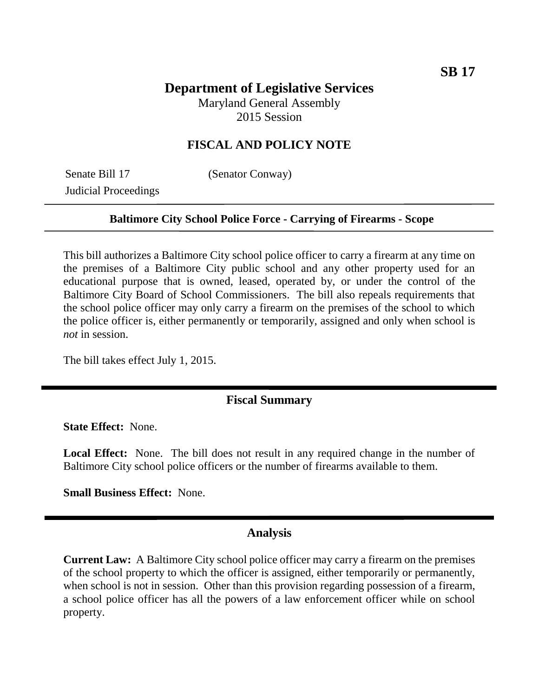# **Department of Legislative Services**

Maryland General Assembly 2015 Session

## **FISCAL AND POLICY NOTE**

Senate Bill 17 (Senator Conway) Judicial Proceedings

### **Baltimore City School Police Force - Carrying of Firearms - Scope**

This bill authorizes a Baltimore City school police officer to carry a firearm at any time on the premises of a Baltimore City public school and any other property used for an educational purpose that is owned, leased, operated by, or under the control of the Baltimore City Board of School Commissioners. The bill also repeals requirements that the school police officer may only carry a firearm on the premises of the school to which the police officer is, either permanently or temporarily, assigned and only when school is *not* in session.

The bill takes effect July 1, 2015.

## **Fiscal Summary**

**State Effect:** None.

Local Effect: None. The bill does not result in any required change in the number of Baltimore City school police officers or the number of firearms available to them.

**Small Business Effect:** None.

### **Analysis**

**Current Law:** A Baltimore City school police officer may carry a firearm on the premises of the school property to which the officer is assigned, either temporarily or permanently, when school is not in session. Other than this provision regarding possession of a firearm, a school police officer has all the powers of a law enforcement officer while on school property.